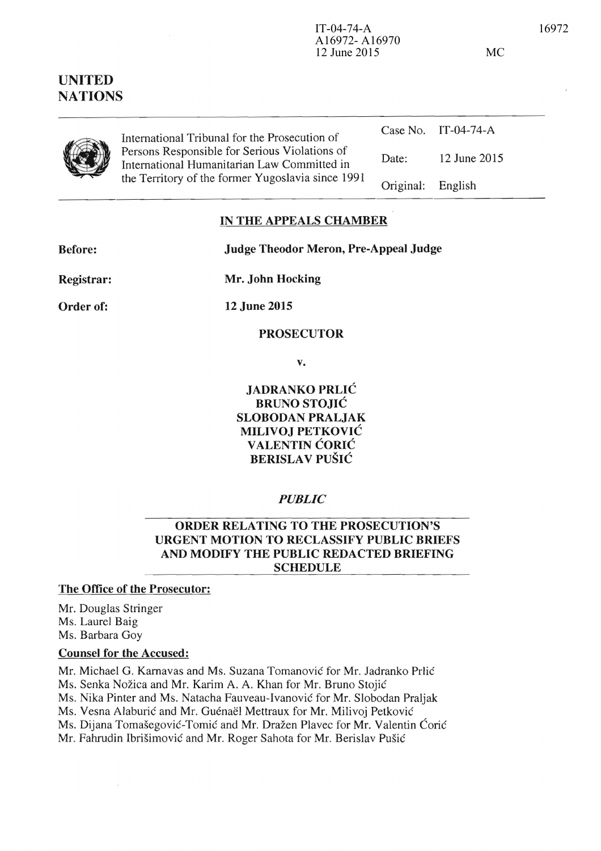# **UNITED NATIONS**



| International Tribunal for the Prosecution of                                                |                   | Case No. IT-04-74-A |
|----------------------------------------------------------------------------------------------|-------------------|---------------------|
| Persons Responsible for Serious Violations of<br>International Humanitarian Law Committed in | Date:             | 12 June 2015        |
| the Territory of the former Yugoslavia since 1991                                            | Original: English |                     |

## **IN THE APPEALS CHAMBER**

| <b>Before:</b> | <b>Judge Theodor Meron, Pre-Appeal Judge</b> |
|----------------|----------------------------------------------|
| Registrar:     | Mr. John Hocking                             |
| Order of:      | <b>12 June 2015</b>                          |

#### **PROSECUTOR**

v.

**JADRANKO PRLIC BRUNO STOJIC SLOBODAN PRALJAK MILIVOJ PETKOVIC VALENTIN CORIC BERISLA V PUSIC** 

## *PUBLIC*

## **ORDER RELATING TO THE PROSECUTION'S URGENT MOTION TO RECLASSIFY PUBLIC BRIEFS AND MODIFY THE PUBLIC REDACTED BRIEFING SCHEDULE**

## **The Office of the Prosecutor:**

Mr. Douglas Stringer Ms. Laurel Baig Ms. Barbara Goy

#### **Counsel for the Accused:**

 $\sim$ 

Mr. Michael G. Karnavas and Ms. Suzana Tomanović for Mr. Jadranko Prlić Ms. Senka Nožica and Mr. Karim A. A. Khan for Mr. Bruno Stojić Ms. Nika Pinter and Ms. Natacha Fauveau-Ivanovie for Mr. Siobodan Praljak Ms. Vesna Alaburić and Mr. Guénaël Mettraux for Mr. Milivoj Petković Ms. Dijana Tomašegović-Tomić and Mr. Dražen Plavec for Mr. Valentin Ćorić Mr. Fahrudin Ibrišimović and Mr. Roger Sahota for Mr. Berislav Pušić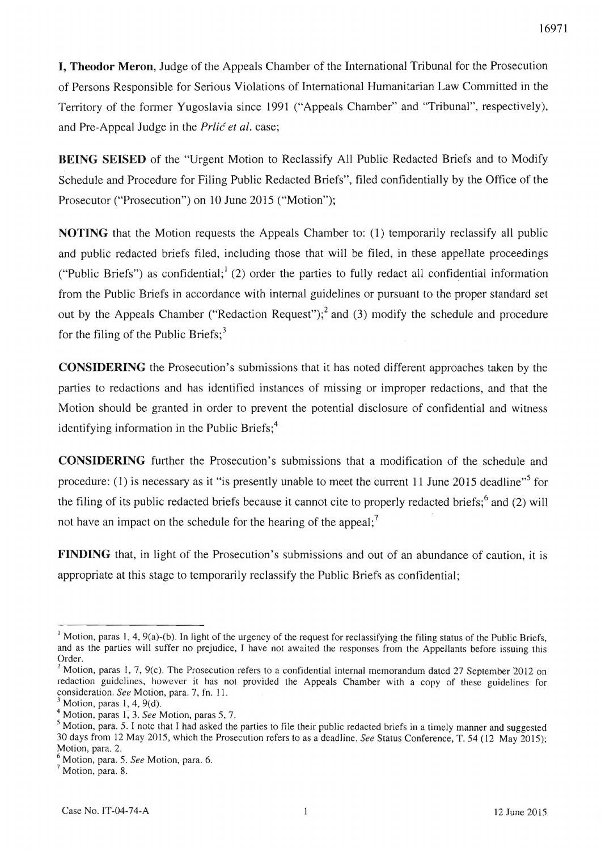**I. Theodor Meron.** Judge of the Appeals Chamber of the International Tribunal for the Prosecution of Persons Responsible for Serious Violations of International Humanitarian Law Committed in the Territory of the former Yugoslavia since 1991 ("Appeals Chamber" and "Tribunal", respectively), and Pre-Appeal Judge in the *Prlić et al.* case;

**BEING SEISED** of the "Urgent Motion to Reclassify All Public Redacted Briefs and to Modify Schedule and Procedure for Filing Public Redacted Briefs", filed confidentially by the Office of the Prosecutor ("Prosecution") on 10 June 2015 ("Motion");

**NOTING** that the Motion requests the Appeals Chamber to: (1) temporarily reclassify all public and public redacted briefs filed, including those that will be filed, in these appellate proceedings ("Public Briefs") as confidential;  $(2)$  order the parties to fully redact all confidential information from the Public Briefs in accordance with internal guidelines or pursuant to the proper standard set out by the Appeals Chamber ("Redaction Request");<sup>2</sup> and (3) modify the schedule and procedure for the filing of the Public Briefs; $3$ 

**CONSIDERING** the Prosecution's submissions that it has noted different approaches taken by the parties to redactions and has identified instances of missing or improper redactions, and that the Motion should be granted in order to prevent the potential disclosure of confidential and witness identifying information in the Public Briefs;<sup>4</sup>

**CONSIDERING** further the Prosecution's submissions that a modification of the schedule and procedure: (1) is necessary as it "is presently unable to meet the current 11 June 2015 deadline"<sup>5</sup> for the filing of its public redacted briefs because it cannot cite to properly redacted briefs;<sup>6</sup> and (2) will not have an impact on the schedule for the hearing of the appeal:<sup>7</sup>

**FINDING** that, in light of the Prosecution's submissions and out of an abundance of caution, it is appropriate at this stage to temporarily reclassify the Public Briefs as confidential;

<sup>&</sup>lt;sup>1</sup> Motion, paras 1, 4, 9(a)-(b). In light of the urgency of the request for reclassifying the filing status of the Public Briefs. and as the parties will suffer no prejudice, I have not awaited the responses from the Appellants before issuing this Order.

 $2$  Motion, paras 1, 7, 9(c). The Prosecution refers to a confidential internal memorandum dated 27 September 2012 on redaction guidelines, however it has not provided the Appeals Chamber with a copy of these guidelines for consideration. *See* Motion, para. 7, fn. II.

Motion, paras  $1, 4, 9(d)$ .

<sup>4</sup> Motion, paras 1,3. *See* Motion, paras 5, 7 .

<sup>&</sup>lt;sup>5</sup> Motion, para. 5. I note that I had asked the parties to file their public redacted briefs in a timely manner and suggested 30 days from 12 May 2015, which the Prosecution refers to as a deadline. *See* Status Conference, T. 54 (12 May 2015); Motion, para. 2.

<sup>6</sup> Motion, para. 5. *See* Motion, para. 6.

<sup>7</sup> Motion, para. 8.